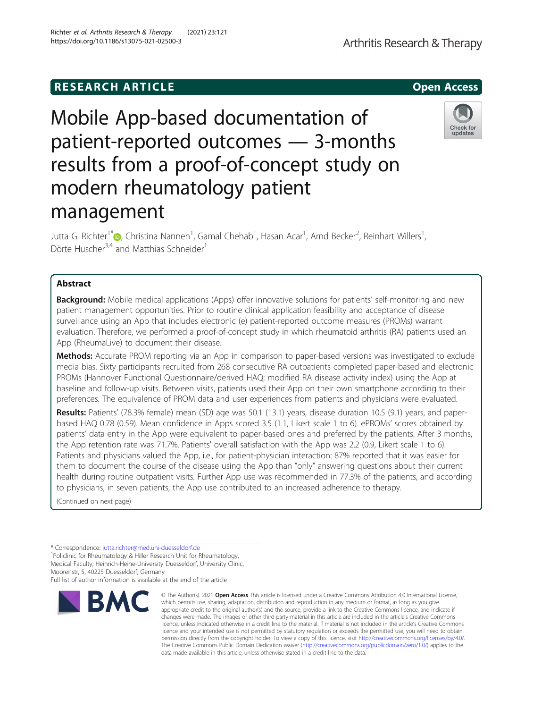# **RESEARCH ARTICLE Example 2014 12:30 The SEAR CH ACCESS**

Dörte Huscher<sup>3,4</sup> and Matthias Schneider<sup>1</sup>

Abstract

# Mobile App-based documentation of patient-reported outcomes — 3-months results from a proof-of-concept study on modern rheumatology patient management

Jutta G. Richter<sup>1\*</sup>D, Christina Nannen<sup>1</sup>, Gamal Chehab<sup>1</sup>, Hasan Acar<sup>1</sup>, Arnd Becker<sup>2</sup>, Reinhart Willers<sup>1</sup>

**Background:** Mobile medical applications (Apps) offer innovative solutions for patients' self-monitoring and new

patient management opportunities. Prior to routine clinical application feasibility and acceptance of disease surveillance using an App that includes electronic (e) patient-reported outcome measures (PROMs) warrant evaluation. Therefore, we performed a proof-of-concept study in which rheumatoid arthritis (RA) patients used an App (RheumaLive) to document their disease.

Methods: Accurate PROM reporting via an App in comparison to paper-based versions was investigated to exclude media bias. Sixty participants recruited from 268 consecutive RA outpatients completed paper-based and electronic PROMs (Hannover Functional Questionnaire/derived HAQ; modified RA disease activity index) using the App at baseline and follow-up visits. Between visits, patients used their App on their own smartphone according to their preferences. The equivalence of PROM data and user experiences from patients and physicians were evaluated.

Results: Patients' (78.3% female) mean (SD) age was 50.1 (13.1) years, disease duration 10.5 (9.1) years, and paperbased HAQ 0.78 (0.59). Mean confidence in Apps scored 3.5 (1.1, Likert scale 1 to 6). ePROMs' scores obtained by patients' data entry in the App were equivalent to paper-based ones and preferred by the patients. After 3 months, the App retention rate was 71.7%. Patients' overall satisfaction with the App was 2.2 (0.9, Likert scale 1 to 6). Patients and physicians valued the App, i.e., for patient-physician interaction: 87% reported that it was easier for them to document the course of the disease using the App than "only" answering questions about their current health during routine outpatient visits. Further App use was recommended in 77.3% of the patients, and according to physicians, in seven patients, the App use contributed to an increased adherence to therapy.

(Continued on next page)

**RMC** 

Full list of author information is available at the end of the article

# https://doi.org/10.1186/s13075-021-02500-3



© The Author(s), 2021 **Open Access** This article is licensed under a Creative Commons Attribution 4.0 International License,



Arthritis Research & Therapy

,

<sup>\*</sup> Correspondence: [jutta.richter@med.uni-duesseldorf.de](mailto:jutta.richter@med.uni-duesseldorf.de) <sup>1</sup>

<sup>&</sup>lt;sup>1</sup>Policlinic for Rheumatology & Hiller Research Unit for Rheumatology, Medical Faculty, Heinrich-Heine-University Duesseldorf, University Clinic, Moorenstr, 5, 40225 Duesseldorf, Germany

which permits use, sharing, adaptation, distribution and reproduction in any medium or format, as long as you give appropriate credit to the original author(s) and the source, provide a link to the Creative Commons licence, and indicate if changes were made. The images or other third party material in this article are included in the article's Creative Commons licence, unless indicated otherwise in a credit line to the material. If material is not included in the article's Creative Commons licence and your intended use is not permitted by statutory regulation or exceeds the permitted use, you will need to obtain permission directly from the copyright holder. To view a copy of this licence, visit [http://creativecommons.org/licenses/by/4.0/.](http://creativecommons.org/licenses/by/4.0/) The Creative Commons Public Domain Dedication waiver [\(http://creativecommons.org/publicdomain/zero/1.0/](http://creativecommons.org/publicdomain/zero/1.0/)) applies to the data made available in this article, unless otherwise stated in a credit line to the data.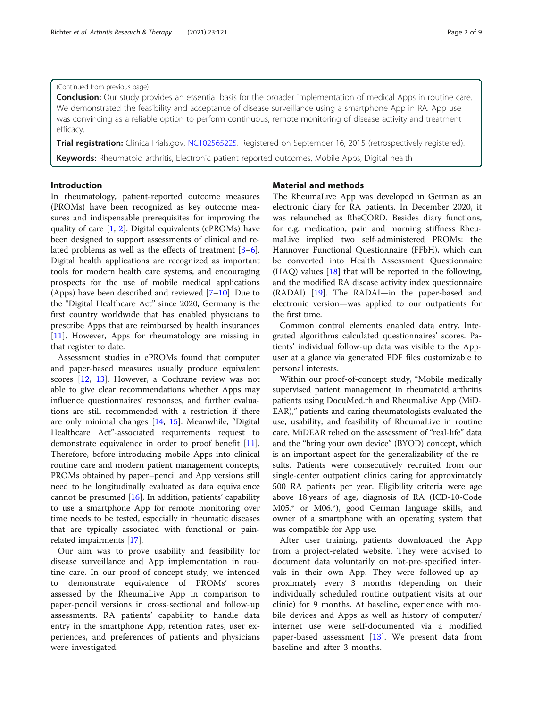# (Continued from previous page)

**Conclusion:** Our study provides an essential basis for the broader implementation of medical Apps in routine care. We demonstrated the feasibility and acceptance of disease surveillance using a smartphone App in RA. App use was convincing as a reliable option to perform continuous, remote monitoring of disease activity and treatment efficacy.

Trial registration: ClinicalTrials.gov, [NCT02565225.](https://clinicaltrials.gov/ct2/show/NCT02565225) Registered on September 16, 2015 (retrospectively registered).

Keywords: Rheumatoid arthritis, Electronic patient reported outcomes, Mobile Apps, Digital health

# Introduction

In rheumatology, patient-reported outcome measures (PROMs) have been recognized as key outcome measures and indispensable prerequisites for improving the quality of care [\[1](#page-7-0), [2\]](#page-7-0). Digital equivalents (ePROMs) have been designed to support assessments of clinical and related problems as well as the effects of treatment [\[3](#page-7-0)–[6](#page-7-0)]. Digital health applications are recognized as important tools for modern health care systems, and encouraging prospects for the use of mobile medical applications (Apps) have been described and reviewed  $[7-10]$  $[7-10]$  $[7-10]$ . Due to the "Digital Healthcare Act" since 2020, Germany is the first country worldwide that has enabled physicians to prescribe Apps that are reimbursed by health insurances [[11\]](#page-7-0). However, Apps for rheumatology are missing in that register to date.

Assessment studies in ePROMs found that computer and paper-based measures usually produce equivalent scores [\[12,](#page-7-0) [13](#page-7-0)]. However, a Cochrane review was not able to give clear recommendations whether Apps may influence questionnaires' responses, and further evaluations are still recommended with a restriction if there are only minimal changes [[14,](#page-7-0) [15\]](#page-7-0). Meanwhile, "Digital Healthcare Act"-associated requirements request to demonstrate equivalence in order to proof benefit [\[11](#page-7-0)]. Therefore, before introducing mobile Apps into clinical routine care and modern patient management concepts, PROMs obtained by paper–pencil and App versions still need to be longitudinally evaluated as data equivalence cannot be presumed [\[16](#page-7-0)]. In addition, patients' capability to use a smartphone App for remote monitoring over time needs to be tested, especially in rheumatic diseases that are typically associated with functional or painrelated impairments [\[17\]](#page-7-0).

Our aim was to prove usability and feasibility for disease surveillance and App implementation in routine care. In our proof-of-concept study, we intended to demonstrate equivalence of PROMs' scores assessed by the RheumaLive App in comparison to paper-pencil versions in cross-sectional and follow-up assessments. RA patients' capability to handle data entry in the smartphone App, retention rates, user experiences, and preferences of patients and physicians were investigated.

### Material and methods

The RheumaLive App was developed in German as an electronic diary for RA patients. In December 2020, it was relaunched as RheCORD. Besides diary functions, for e.g. medication, pain and morning stiffness RheumaLive implied two self-administered PROMs: the Hannover Functional Questionnaire (FFbH), which can be converted into Health Assessment Questionnaire (HAQ) values [[18\]](#page-7-0) that will be reported in the following, and the modified RA disease activity index questionnaire (RADAI) [[19\]](#page-7-0). The RADAI—in the paper-based and electronic version—was applied to our outpatients for the first time.

Common control elements enabled data entry. Integrated algorithms calculated questionnaires' scores. Patients' individual follow-up data was visible to the Appuser at a glance via generated PDF files customizable to personal interests.

Within our proof-of-concept study, "Mobile medically supervised patient management in rheumatoid arthritis patients using DocuMed.rh and RheumaLive App (MiD-EAR)," patients and caring rheumatologists evaluated the use, usability, and feasibility of RheumaLive in routine care. MiDEAR relied on the assessment of "real-life" data and the "bring your own device" (BYOD) concept, which is an important aspect for the generalizability of the results. Patients were consecutively recruited from our single-center outpatient clinics caring for approximately 500 RA patients per year. Eligibility criteria were age above 18 years of age, diagnosis of RA (ICD-10-Code M05.\* or M06.\*), good German language skills, and owner of a smartphone with an operating system that was compatible for App use.

After user training, patients downloaded the App from a project-related website. They were advised to document data voluntarily on not-pre-specified intervals in their own App. They were followed-up approximately every 3 months (depending on their individually scheduled routine outpatient visits at our clinic) for 9 months. At baseline, experience with mobile devices and Apps as well as history of computer/ internet use were self-documented via a modified paper-based assessment  $[13]$  $[13]$ . We present data from baseline and after 3 months.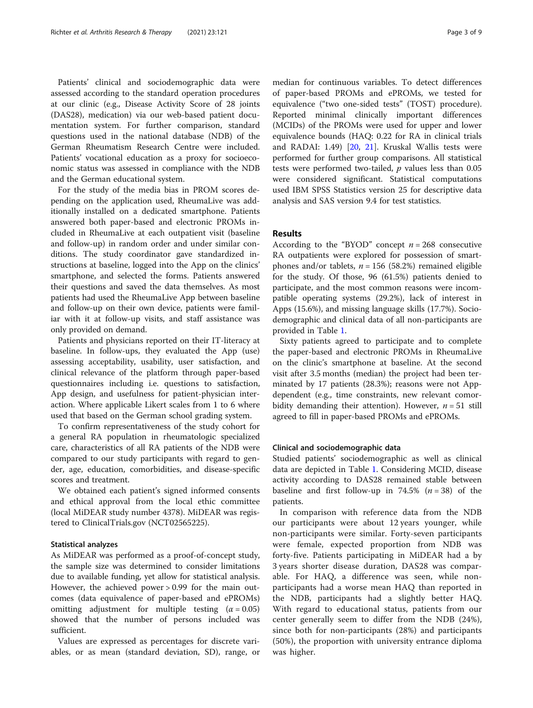Patients' clinical and sociodemographic data were assessed according to the standard operation procedures at our clinic (e.g., Disease Activity Score of 28 joints (DAS28), medication) via our web-based patient documentation system. For further comparison, standard questions used in the national database (NDB) of the German Rheumatism Research Centre were included. Patients' vocational education as a proxy for socioeconomic status was assessed in compliance with the NDB and the German educational system.

For the study of the media bias in PROM scores depending on the application used, RheumaLive was additionally installed on a dedicated smartphone. Patients answered both paper-based and electronic PROMs included in RheumaLive at each outpatient visit (baseline and follow-up) in random order and under similar conditions. The study coordinator gave standardized instructions at baseline, logged into the App on the clinics' smartphone, and selected the forms. Patients answered their questions and saved the data themselves. As most patients had used the RheumaLive App between baseline and follow-up on their own device, patients were familiar with it at follow-up visits, and staff assistance was only provided on demand.

Patients and physicians reported on their IT-literacy at baseline. In follow-ups, they evaluated the App (use) assessing acceptability, usability, user satisfaction, and clinical relevance of the platform through paper-based questionnaires including i.e. questions to satisfaction, App design, and usefulness for patient-physician interaction. Where applicable Likert scales from 1 to 6 where used that based on the German school grading system.

To confirm representativeness of the study cohort for a general RA population in rheumatologic specialized care, characteristics of all RA patients of the NDB were compared to our study participants with regard to gender, age, education, comorbidities, and disease-specific scores and treatment.

We obtained each patient's signed informed consents and ethical approval from the local ethic committee (local MiDEAR study number 4378). MiDEAR was registered to ClinicalTrials.gov (NCT02565225).

#### Statistical analyzes

As MiDEAR was performed as a proof-of-concept study, the sample size was determined to consider limitations due to available funding, yet allow for statistical analysis. However, the achieved power > 0.99 for the main outcomes (data equivalence of paper-based and ePROMs) omitting adjustment for multiple testing  $(\alpha = 0.05)$ showed that the number of persons included was sufficient.

Values are expressed as percentages for discrete variables, or as mean (standard deviation, SD), range, or median for continuous variables. To detect differences

of paper-based PROMs and ePROMs, we tested for equivalence ("two one-sided tests" (TOST) procedure). Reported minimal clinically important differences (MCIDs) of the PROMs were used for upper and lower equivalence bounds (HAQ: 0.22 for RA in clinical trials and RADAI: 1.49) [[20,](#page-7-0) [21\]](#page-7-0). Kruskal Wallis tests were performed for further group comparisons. All statistical tests were performed two-tailed,  $p$  values less than 0.05 were considered significant. Statistical computations used IBM SPSS Statistics version 25 for descriptive data analysis and SAS version 9.4 for test statistics.

# Results

According to the "BYOD" concept  $n = 268$  consecutive RA outpatients were explored for possession of smartphones and/or tablets,  $n = 156$  (58.2%) remained eligible for the study. Of those, 96 (61.5%) patients denied to participate, and the most common reasons were incompatible operating systems (29.2%), lack of interest in Apps (15.6%), and missing language skills (17.7%). Sociodemographic and clinical data of all non-participants are provided in Table [1](#page-3-0).

Sixty patients agreed to participate and to complete the paper-based and electronic PROMs in RheumaLive on the clinic's smartphone at baseline. At the second visit after 3.5 months (median) the project had been terminated by 17 patients (28.3%); reasons were not Appdependent (e.g., time constraints, new relevant comorbidity demanding their attention). However,  $n = 51$  still agreed to fill in paper-based PROMs and ePROMs.

# Clinical and sociodemographic data

Studied patients' sociodemographic as well as clinical data are depicted in Table [1.](#page-3-0) Considering MCID, disease activity according to DAS28 remained stable between baseline and first follow-up in 74.5%  $(n = 38)$  of the patients.

In comparison with reference data from the NDB our participants were about 12 years younger, while non-participants were similar. Forty-seven participants were female, expected proportion from NDB was forty-five. Patients participating in MiDEAR had a by 3 years shorter disease duration, DAS28 was comparable. For HAQ, a difference was seen, while nonparticipants had a worse mean HAQ than reported in the NDB, participants had a slightly better HAQ. With regard to educational status, patients from our center generally seem to differ from the NDB (24%), since both for non-participants (28%) and participants (50%), the proportion with university entrance diploma was higher.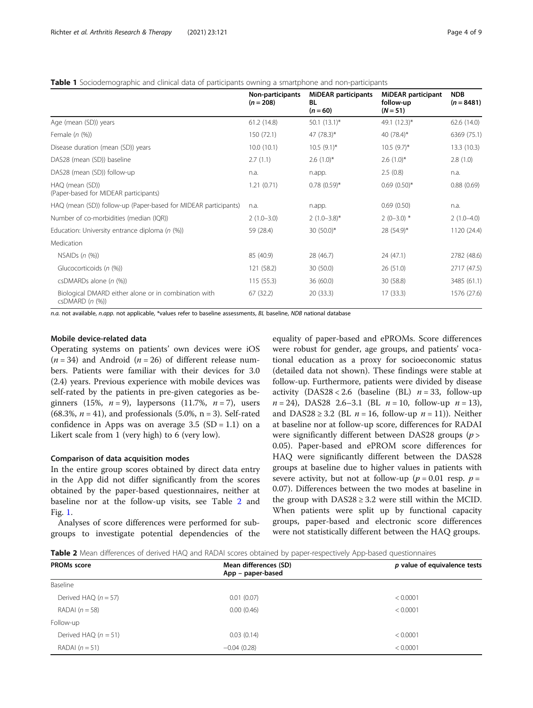<span id="page-3-0"></span>Table 1 Sociodemographic and clinical data of participants owning a smartphone and non-participants

|                                                                         | Non-participants<br>$(n = 208)$ | <b>MiDEAR</b> participants<br><b>BL</b><br>$(n = 60)$ | <b>MiDEAR</b> participant<br>follow-up<br>$(N = 51)$ | <b>NDB</b><br>$(n = 8481)$ |
|-------------------------------------------------------------------------|---------------------------------|-------------------------------------------------------|------------------------------------------------------|----------------------------|
| Age (mean (SD)) years                                                   | 61.2(14.8)                      | 50.1 $(13.1)^*$                                       | 49.1 (12.3)*                                         | 62.6(14.0)                 |
| Female $(n$ $(\%)$                                                      | 150 (72.1)                      | 47 $(78.3)^*$                                         | 40 $(78.4)$ *                                        | 6369 (75.1)                |
| Disease duration (mean (SD)) years                                      | 10.0(10.1)                      | $10.5(9.1)^{*}$                                       | $10.5(9.7)^{*}$                                      | 13.3(10.3)                 |
| DAS28 (mean (SD)) baseline                                              | 2.7(1.1)                        | $2.6(1.0)^{*}$                                        | $2.6(1.0)^*$                                         | 2.8(1.0)                   |
| DAS28 (mean (SD)) follow-up                                             | n.a.                            | n.app.                                                | 2.5(0.8)                                             | n.a.                       |
| HAQ (mean (SD))<br>(Paper-based for MIDEAR participants)                | 1.21(0.71)                      | $0.78(0.59)$ *                                        | $0.69(0.50)$ *                                       | 0.88(0.69)                 |
| HAQ (mean (SD)) follow-up (Paper-based for MIDEAR participants)         | n.a.                            | n.app.                                                | 0.69(0.50)                                           | n.a.                       |
| Number of co-morbidities (median (IQR))                                 | $2(1.0-3.0)$                    | $2(1.0-3.8)$ *                                        | $2(0-3.0)$ *                                         | $2(1.0-4.0)$               |
| Education: University entrance diploma ( $n$ (%))                       | 59 (28.4)                       | 30 $(50.0)^*$                                         | $28(54.9)^*$                                         | 1120 (24.4)                |
| Medication                                                              |                                 |                                                       |                                                      |                            |
| NSAIDs $(n$ $(\%)$                                                      | 85 (40.9)                       | 28 (46.7)                                             | 24 (47.1)                                            | 2782 (48.6)                |
| Glucocorticoids (n (%))                                                 | 121 (58.2)                      | 30 (50.0)                                             | 26(51.0)                                             | 2717 (47.5)                |
| csDMARDs alone $(n \ (\%))$                                             | 115(55.3)                       | 36(60.0)                                              | 30 (58.8)                                            | 3485 (61.1)                |
| Biological DMARD either alone or in combination with<br>csDMARD (n (%)) | 67 (32.2)                       | 20 (33.3)                                             | 17(33.3)                                             | 1576 (27.6)                |

n.a. not available, n.app. not applicable, \*values refer to baseline assessments, BL baseline, NDB national database

# Mobile device-related data

Operating systems on patients' own devices were iOS  $(n = 34)$  and Android  $(n = 26)$  of different release numbers. Patients were familiar with their devices for 3.0 (2.4) years. Previous experience with mobile devices was self-rated by the patients in pre-given categories as beginners (15%,  $n = 9$ ), laypersons (11.7%,  $n = 7$ ), users (68.3%,  $n = 41$ ), and professionals (5.0%, n = 3). Self-rated confidence in Apps was on average  $3.5$  (SD = 1.1) on a Likert scale from 1 (very high) to 6 (very low).

# Comparison of data acquisition modes

In the entire group scores obtained by direct data entry in the App did not differ significantly from the scores obtained by the paper-based questionnaires, neither at baseline nor at the follow-up visits, see Table 2 and Fig. [1](#page-4-0).

Analyses of score differences were performed for subgroups to investigate potential dependencies of the

equality of paper-based and ePROMs. Score differences were robust for gender, age groups, and patients' vocational education as a proxy for socioeconomic status (detailed data not shown). These findings were stable at follow-up. Furthermore, patients were divided by disease activity (DAS28 < 2.6 (baseline (BL)  $n = 33$ , follow-up  $n = 24$ ), DAS28 2.6–3.1 (BL  $n = 10$ , follow-up  $n = 13$ ), and DAS28  $\geq$  3.2 (BL  $n = 16$ , follow-up  $n = 11$ )). Neither at baseline nor at follow-up score, differences for RADAI were significantly different between DAS28 groups  $(p >$ 0.05). Paper-based and ePROM score differences for HAQ were significantly different between the DAS28 groups at baseline due to higher values in patients with severe activity, but not at follow-up ( $p = 0.01$  resp.  $p =$ 0.07). Differences between the two modes at baseline in the group with  $DAS28 \geq 3.2$  were still within the MCID. When patients were split up by functional capacity groups, paper-based and electronic score differences were not statistically different between the HAQ groups.

Table 2 Mean differences of derived HAQ and RADAI scores obtained by paper-respectively App-based questionnaires

| <b>PROMs score</b>     | Mean differences (SD) | p value of equivalence tests |
|------------------------|-----------------------|------------------------------|
| Baseline               | App – paper-based     |                              |
|                        |                       |                              |
| Derived HAQ $(n = 57)$ | 0.01(0.07)            | < 0.0001                     |
| RADAI $(n = 58)$       | 0.00(0.46)            | < 0.0001                     |
| Follow-up              |                       |                              |
| Derived HAQ $(n = 51)$ | 0.03(0.14)            | < 0.0001                     |
| RADAI $(n=51)$         | $-0.04(0.28)$         | < 0.0001                     |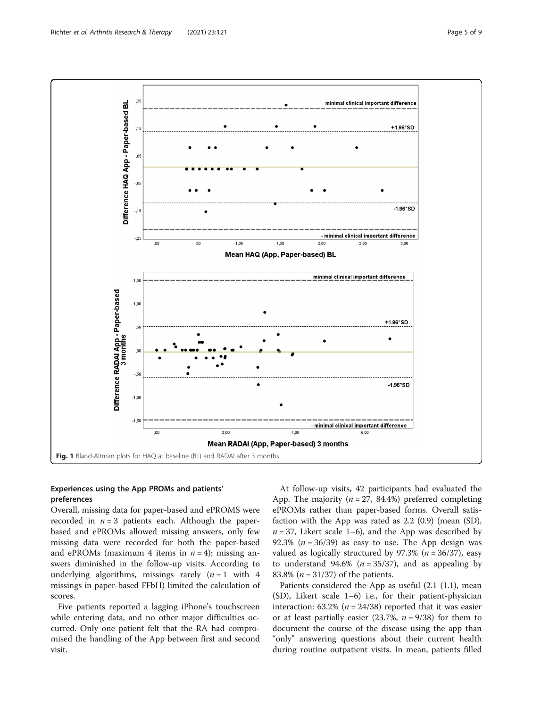<span id="page-4-0"></span>

# Experiences using the App PROMs and patients' preferences

Overall, missing data for paper-based and ePROMS were recorded in  $n = 3$  patients each. Although the paperbased and ePROMs allowed missing answers, only few missing data were recorded for both the paper-based and ePROMs (maximum 4 items in  $n = 4$ ); missing answers diminished in the follow-up visits. According to underlying algorithms, missings rarely  $(n = 1$  with 4 missings in paper-based FFbH) limited the calculation of scores.

Five patients reported a lagging iPhone's touchscreen while entering data, and no other major difficulties occurred. Only one patient felt that the RA had compromised the handling of the App between first and second visit.

At follow-up visits, 42 participants had evaluated the App. The majority ( $n = 27$ , 84.4%) preferred completing ePROMs rather than paper-based forms. Overall satisfaction with the App was rated as 2.2 (0.9) (mean (SD),  $n = 37$ , Likert scale 1–6), and the App was described by 92.3% ( $n = 36/39$ ) as easy to use. The App design was valued as logically structured by 97.3% ( $n = 36/37$ ), easy to understand 94.6% ( $n = 35/37$ ), and as appealing by 83.8% ( $n = 31/37$ ) of the patients.

Patients considered the App as useful (2.1 (1.1), mean (SD), Likert scale 1–6) i.e., for their patient-physician interaction: 63.2% ( $n = 24/38$ ) reported that it was easier or at least partially easier (23.7%,  $n = 9/38$ ) for them to document the course of the disease using the app than "only" answering questions about their current health during routine outpatient visits. In mean, patients filled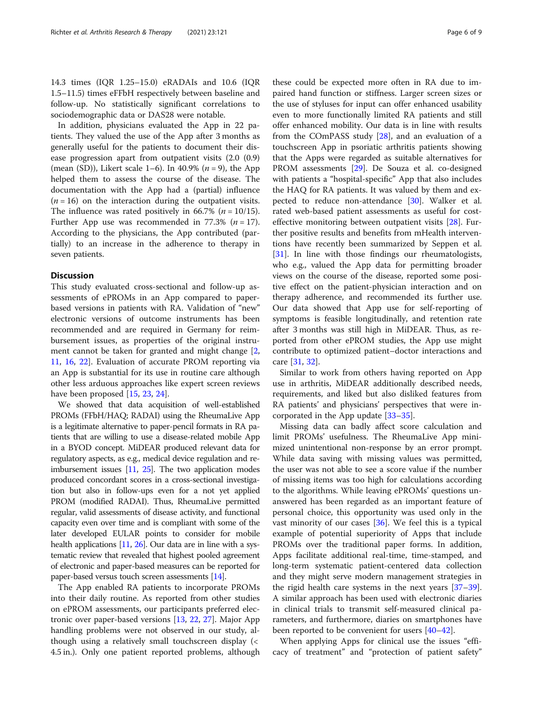14.3 times (IQR 1.25–15.0) eRADAIs and 10.6 (IQR 1.5–11.5) times eFFbH respectively between baseline and follow-up. No statistically significant correlations to sociodemographic data or DAS28 were notable.

In addition, physicians evaluated the App in 22 patients. They valued the use of the App after 3 months as generally useful for the patients to document their disease progression apart from outpatient visits (2.0 (0.9) (mean (SD)), Likert scale 1–6). In 40.9% ( $n = 9$ ), the App helped them to assess the course of the disease. The documentation with the App had a (partial) influence  $(n = 16)$  on the interaction during the outpatient visits. The influence was rated positively in 66.7% ( $n = 10/15$ ). Further App use was recommended in 77.3% ( $n = 17$ ). According to the physicians, the App contributed (partially) to an increase in the adherence to therapy in seven patients.

### **Discussion**

This study evaluated cross-sectional and follow-up assessments of ePROMs in an App compared to paperbased versions in patients with RA. Validation of "new" electronic versions of outcome instruments has been recommended and are required in Germany for reimbursement issues, as properties of the original instrument cannot be taken for granted and might change [\[2](#page-7-0), [11,](#page-7-0) [16](#page-7-0), [22](#page-7-0)]. Evaluation of accurate PROM reporting via an App is substantial for its use in routine care although other less arduous approaches like expert screen reviews have been proposed [\[15](#page-7-0), [23](#page-7-0), [24\]](#page-7-0).

We showed that data acquisition of well-established PROMs (FFbH/HAQ; RADAI) using the RheumaLive App is a legitimate alternative to paper-pencil formats in RA patients that are willing to use a disease-related mobile App in a BYOD concept. MiDEAR produced relevant data for regulatory aspects, as e.g., medical device regulation and reimbursement issues [\[11,](#page-7-0) [25\]](#page-7-0). The two application modes produced concordant scores in a cross-sectional investigation but also in follow-ups even for a not yet applied PROM (modified RADAI). Thus, RheumaLive permitted regular, valid assessments of disease activity, and functional capacity even over time and is compliant with some of the later developed EULAR points to consider for mobile health applications  $[11, 26]$  $[11, 26]$  $[11, 26]$ . Our data are in line with a systematic review that revealed that highest pooled agreement of electronic and paper-based measures can be reported for paper-based versus touch screen assessments [[14](#page-7-0)].

The App enabled RA patients to incorporate PROMs into their daily routine. As reported from other studies on ePROM assessments, our participants preferred electronic over paper-based versions [[13,](#page-7-0) [22,](#page-7-0) [27\]](#page-8-0). Major App handling problems were not observed in our study, although using a relatively small touchscreen display (< 4.5 in.). Only one patient reported problems, although

these could be expected more often in RA due to impaired hand function or stiffness. Larger screen sizes or the use of styluses for input can offer enhanced usability even to more functionally limited RA patients and still offer enhanced mobility. Our data is in line with results from the COmPASS study [[28\]](#page-8-0), and an evaluation of a touchscreen App in psoriatic arthritis patients showing that the Apps were regarded as suitable alternatives for PROM assessments [[29\]](#page-8-0). De Souza et al. co-designed with patients a "hospital-specific" App that also includes the HAQ for RA patients. It was valued by them and expected to reduce non-attendance [[30](#page-8-0)]. Walker et al. rated web-based patient assessments as useful for cost-effective monitoring between outpatient visits [[28\]](#page-8-0). Further positive results and benefits from mHealth interventions have recently been summarized by Seppen et al. [[31\]](#page-8-0). In line with those findings our rheumatologists, who e.g., valued the App data for permitting broader views on the course of the disease, reported some positive effect on the patient-physician interaction and on therapy adherence, and recommended its further use. Our data showed that App use for self-reporting of symptoms is feasible longitudinally, and retention rate after 3 months was still high in MiDEAR. Thus, as reported from other ePROM studies, the App use might contribute to optimized patient–doctor interactions and care [[31,](#page-8-0) [32](#page-8-0)].

Similar to work from others having reported on App use in arthritis, MiDEAR additionally described needs, requirements, and liked but also disliked features from RA patients' and physicians' perspectives that were incorporated in the App update [[33](#page-8-0)–[35](#page-8-0)].

Missing data can badly affect score calculation and limit PROMs' usefulness. The RheumaLive App minimized unintentional non-response by an error prompt. While data saving with missing values was permitted, the user was not able to see a score value if the number of missing items was too high for calculations according to the algorithms. While leaving ePROMs' questions unanswered has been regarded as an important feature of personal choice, this opportunity was used only in the vast minority of our cases  $[36]$  $[36]$ . We feel this is a typical example of potential superiority of Apps that include PROMs over the traditional paper forms. In addition, Apps facilitate additional real-time, time-stamped, and long-term systematic patient-centered data collection and they might serve modern management strategies in the rigid health care systems in the next years [[37](#page-8-0)–[39](#page-8-0)]. A similar approach has been used with electronic diaries in clinical trials to transmit self-measured clinical parameters, and furthermore, diaries on smartphones have been reported to be convenient for users [[40](#page-8-0)–[42](#page-8-0)].

When applying Apps for clinical use the issues "efficacy of treatment" and "protection of patient safety"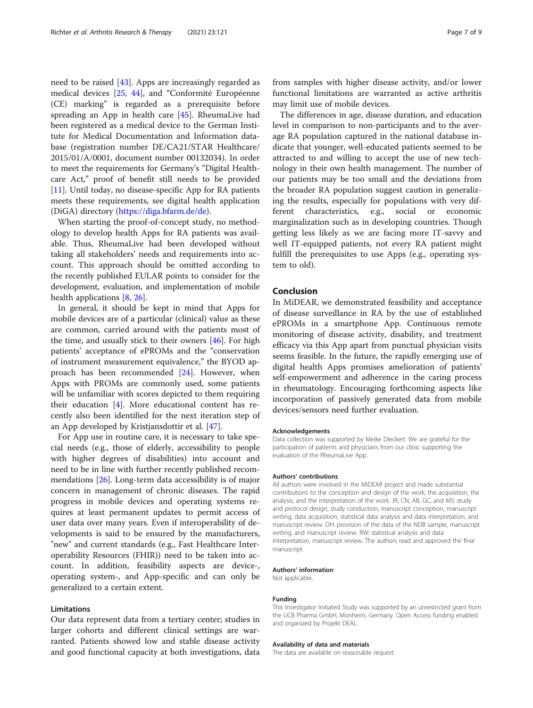need to be raised [[43\]](#page-8-0). Apps are increasingly regarded as medical devices [\[25,](#page-7-0) [44\]](#page-8-0), and "Conformité Européenne (CE) marking" is regarded as a prerequisite before spreading an App in health care [\[45](#page-8-0)]. RheumaLive had been registered as a medical device to the German Institute for Medical Documentation and Information database (registration number DE/CA21/STAR Healthcare/ 2015/01/A/0001, document number 00132034). In order to meet the requirements for Germany's "Digital Healthcare Act," proof of benefit still needs to be provided [[11\]](#page-7-0). Until today, no disease-specific App for RA patients meets these requirements, see digital health application (DiGA) directory ([https://diga.bfarm.de/de\)](https://diga.bfarm.de/de).

When starting the proof-of-concept study, no methodology to develop health Apps for RA patients was available. Thus, RheumaLive had been developed without taking all stakeholders' needs and requirements into account. This approach should be omitted according to the recently published EULAR points to consider for the development, evaluation, and implementation of mobile health applications [[8,](#page-7-0) [26](#page-7-0)].

In general, it should be kept in mind that Apps for mobile devices are of a particular (clinical) value as these are common, carried around with the patients most of the time, and usually stick to their owners [\[46](#page-8-0)]. For high patients' acceptance of ePROMs and the "conservation of instrument measurement equivalence," the BYOD approach has been recommended [[24\]](#page-7-0). However, when Apps with PROMs are commonly used, some patients will be unfamiliar with scores depicted to them requiring their education [\[4](#page-7-0)]. More educational content has recently also been identified for the next iteration step of an App developed by Kristjansdottir et al. [[47](#page-8-0)].

For App use in routine care, it is necessary to take special needs (e.g., those of elderly, accessibility to people with higher degrees of disabilities) into account and need to be in line with further recently published recommendations [\[26](#page-7-0)]. Long-term data accessibility is of major concern in management of chronic diseases. The rapid progress in mobile devices and operating systems requires at least permanent updates to permit access of user data over many years. Even if interoperability of developments is said to be ensured by the manufacturers, "new" and current standards (e.g., Fast Healthcare Interoperability Resources (FHIR)) need to be taken into account. In addition, feasibility aspects are device-, operating system-, and App-specific and can only be generalized to a certain extent.

# Limitations

Our data represent data from a tertiary center; studies in larger cohorts and different clinical settings are warranted. Patients showed low and stable disease activity and good functional capacity at both investigations, data

from samples with higher disease activity, and/or lower functional limitations are warranted as active arthritis may limit use of mobile devices.

The differences in age, disease duration, and education level in comparison to non-participants and to the average RA population captured in the national database indicate that younger, well-educated patients seemed to be attracted to and willing to accept the use of new technology in their own health management. The number of our patients may be too small and the deviations from the broader RA population suggest caution in generalizing the results, especially for populations with very different characteristics, e.g., social or economic marginalization such as in developing countries. Though getting less likely as we are facing more IT-savvy and well IT-equipped patients, not every RA patient might fulfill the prerequisites to use Apps (e.g., operating system to old).

# Conclusion

In MiDEAR, we demonstrated feasibility and acceptance of disease surveillance in RA by the use of established ePROMs in a smartphone App. Continuous remote monitoring of disease activity, disability, and treatment efficacy via this App apart from punctual physician visits seems feasible. In the future, the rapidly emerging use of digital health Apps promises amelioration of patients' self-empowerment and adherence in the caring process in rheumatology. Encouraging forthcoming aspects like incorporation of passively generated data from mobile devices/sensors need further evaluation.

#### Acknowledgements

Data collection was supported by Meike Dieckert. We are grateful for the participation of patients and physicians from our clinic supporting the evaluation of the RheumaLive App.

#### Authors' contributions

All authors were involved in the MiDEAR project and made substantial contributions to the conception and design of the work, the acquisition, the analysis, and the interpretation of the work. JR, CN, AB, GC, and MS: study and protocol design, study conduction, manuscript conception, manuscript writing, data acquisition, statistical data analysis and data interpretation, and manuscript review. DH: provision of the data of the NDB sample, manuscript writing, and manuscript review. RW: statistical analysis and data interpretation, manuscript review. The authors read and approved the final manuscript.

#### Authors' information

Not applicable.

#### Funding

This Investigator Initiated Study was supported by an unrestricted grant from the UCB Pharma GmbH, Monheim, Germany. Open Access funding enabled and organized by Projekt DEAL.

#### Availability of data and materials

The data are available on reasonable request.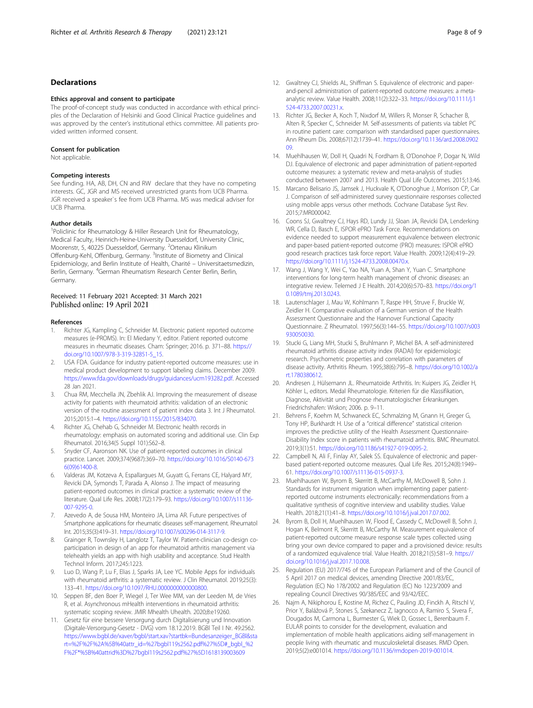# <span id="page-7-0"></span>Declarations

#### Ethics approval and consent to participate

The proof-of-concept study was conducted in accordance with ethical principles of the Declaration of Helsinki and Good Clinical Practice guidelines and was approved by the center's institutional ethics committee. All patients provided written informed consent.

#### Consent for publication

Not applicable.

#### Competing interests

See funding. HA, AB, DH, CN and RW declare that they have no competing interests. GC, JGR and MS received unrestricted grants from UCB Pharma. JGR received a speaker`s fee from UCB Pharma. MS was medical adviser for UCB Pharma.

#### Author details

<sup>1</sup>Policlinic for Rheumatology & Hiller Research Unit for Rheumatology, Medical Faculty, Heinrich-Heine-University Duesseldorf, University Clinic, Moorenstr, 5, 40225 Duesseldorf, Germany. <sup>2</sup>Ortenau Klinikum Offenburg-Kehl, Offenburg, Germany. <sup>3</sup>Institute of Biometry and Clinical Epidemiology, and Berlin Institute of Health, Charité – Universitaetsmedizin, Berlin, Germany. <sup>4</sup>German Rheumatism Research Center Berlin, Berlin, Germany.

#### Received: 11 February 2021 Accepted: 31 March 2021 Published online: 19 April 2021

#### References

- Richter JG, Kampling C, Schneider M. Electronic patient reported outcome measures (e-PROMS). In: El Miedany Y, editor. Patient reported outcome measures in rheumatic diseases. Cham: Springer; 2016. p. 371–88. [https://](https://doi.org/10.1007/978-3-319-32851-5_15) [doi.org/10.1007/978-3-319-32851-5\\_15](https://doi.org/10.1007/978-3-319-32851-5_15).
- 2. USA FDA. Guidance for industry patient-reported outcome measures: use in medical product development to support labeling claims. December 2009. [https://www.fda.gov/downloads/drugs/guidances/ucm193282.pdf.](https://www.fda.gov/downloads/drugs/guidances/ucm193282.pdf) Accessed 28 Jan 2021.
- 3. Chua RM, Mecchella JN, Zbehlik AJ. Improving the measurement of disease activity for patients with rheumatoid arthritis: validation of an electronic version of the routine assessment of patient index data 3. Int J Rheumatol. 2015;2015:1–4. [https://doi.org/10.1155/2015/834070.](https://doi.org/10.1155/2015/834070)
- 4. Richter JG, Chehab G, Schneider M. Electronic health records in rheumatology: emphasis on automated scoring and additional use. Clin Exp Rheumatol. 2016;34(5 Suppl 101):S62–8.
- 5. Snyder CF, Aaronson NK. Use of patient-reported outcomes in clinical practice. Lancet. 2009;374(9687):369–70. [https://doi.org/10.1016/S0140-673](https://doi.org/10.1016/S0140-6736(09)61400-8) [6\(09\)61400-8](https://doi.org/10.1016/S0140-6736(09)61400-8).
- Valderas JM, Kotzeva A, Espallargues M, Guyatt G, Ferrans CE, Halyard MY, Revicki DA, Symonds T, Parada A, Alonso J. The impact of measuring patient-reported outcomes in clinical practice: a systematic review of the literature. Qual Life Res. 2008;17(2):179–93. [https://doi.org/10.1007/s11136-](https://doi.org/10.1007/s11136-007-9295-0) [007-9295-0](https://doi.org/10.1007/s11136-007-9295-0).
- 7. Azevedo A, de Sousa HM, Monteiro JA, Lima AR. Future perspectives of Smartphone applications for rheumatic diseases self-management. Rheumatol Int. 2015;35(3):419–31. [https://doi.org/10.1007/s00296-014-3117-9.](https://doi.org/10.1007/s00296-014-3117-9)
- 8. Grainger R, Townsley H, Langlotz T, Taylor W. Patient-clinician co-design coparticipation in design of an app for rheumatoid arthritis management via telehealth yields an app with high usability and acceptance. Stud Health Technol Inform. 2017;245:1223.
- 9. Luo D, Wang P, Lu F, Elias J, Sparks JA, Lee YC. Mobile Apps for individuals with rheumatoid arthritis: a systematic review. J Clin Rheumatol. 2019;25(3): 133–41. <https://doi.org/10.1097/RHU.0000000000000800>.
- 10. Seppen BF, den Boer P, Wiegel J, Ter Wee MM, van der Leeden M, de Vries R, et al. Asynchronous mHealth interventions in rheumatoid arthritis: systematic scoping review. JMIR Mhealth Uhealth. 2020;8:e19260.
- 11. Gesetz für eine bessere Versorgung durch Digitalisierung und Innovation (Digitale-Versorgung-Gesetz - DVG) vom 18.12.2019. BGBl Teil I Nr. 49:2562. https://www.bgbl.de/xaver/bgbl/start.xav?startbk=Bundesanzeiger\_BGBl&sta rt=%2F%2F%2A%5B%40attr\_id=%27bgbl119s2562.pdf%27%5D#\_bgbl\_%2 F%2F\*%5B%40attrid%3D%27bgbl119s2562.pdf%27%5D1618139003609
- 12. Gwaltney CJ, Shields AL, Shiffman S. Equivalence of electronic and paperand-pencil administration of patient-reported outcome measures: a metaanalytic review. Value Health. 2008;11(2):322–33. [https://doi.org/10.1111/j.1](https://doi.org/10.1111/j.1524-4733.2007.00231.x) [524-4733.2007.00231.x](https://doi.org/10.1111/j.1524-4733.2007.00231.x).
- 13. Richter JG, Becker A, Koch T, Nixdorf M, Willers R, Monser R, Schacher B, Alten R, Specker C, Schneider M. Self-assessments of patients via tablet PC in routine patient care: comparison with standardised paper questionnaires. Ann Rheum Dis. 2008;67(12):1739–41. [https://doi.org/10.1136/ard.2008.0902](https://doi.org/10.1136/ard.2008.090209) [09.](https://doi.org/10.1136/ard.2008.090209)
- 14. Muehlhausen W, Doll H, Quadri N, Fordham B, O'Donohoe P, Dogar N, Wild DJ. Equivalence of electronic and paper administration of patient-reported outcome measures: a systematic review and meta-analysis of studies conducted between 2007 and 2013. Health Qual Life Outcomes. 2015;13:46.
- 15. Marcano Belisario JS, Jamsek J, Huckvale K, O'Donoghue J, Morrison CP, Car J. Comparison of self-administered survey questionnaire responses collected using mobile apps versus other methods. Cochrane Database Syst Rev. 2015;7:MR000042.
- 16. Coons SJ, Gwaltney CJ, Hays RD, Lundy JJ, Sloan JA, Revicki DA, Lenderking WR, Cella D, Basch E, ISPOR ePRO Task Force. Recommendations on evidence needed to support measurement equivalence between electronic and paper-based patient-reported outcome (PRO) measures: ISPOR ePRO good research practices task force report. Value Health. 2009;12(4):419–29. <https://doi.org/10.1111/j.1524-4733.2008.00470.x>.
- 17. Wang J, Wang Y, Wei C, Yao NA, Yuan A, Shan Y, Yuan C. Smartphone interventions for long-term health management of chronic diseases: an integrative review. Telemed J E Health. 2014;20(6):570–83. [https://doi.org/1](https://doi.org/10.1089/tmj.2013.0243) [0.1089/tmj.2013.0243.](https://doi.org/10.1089/tmj.2013.0243)
- 18. Lautenschlager J, Mau W, Kohlmann T, Raspe HH, Struve F, Bruckle W, Zeidler H. Comparative evaluation of a German version of the Health Assessment Questionnaire and the Hannover Functional Capacity Questionnaire. Z Rheumatol. 1997;56(3):144–55. [https://doi.org/10.1007/s003](https://doi.org/10.1007/s003930050030) [930050030](https://doi.org/10.1007/s003930050030).
- 19. Stucki G, Liang MH, Stucki S, Bruhlmann P, Michel BA. A self-administered rheumatoid arthritis disease activity index (RADAI) for epidemiologic research. Psychometric properties and correlation with parameters of disease activity. Arthritis Rheum. 1995;38(6):795–8. [https://doi.org/10.1002/a](https://doi.org/10.1002/art.1780380612) [rt.1780380612](https://doi.org/10.1002/art.1780380612).
- 20. Andresen J, Hülsemann JL. Rheumatoide Arthritis. In: Kuipers JG, Zeidler H, Köhler L, editors. Medal Rheumatologie. Kriterien für die Klassifikation, Diagnose, Aktivität und Prognose rheumatologischer Erkrankungen. Friedrichshafen: Wiskon; 2006. p. 9–11.
- 21. Behrens F, Koehm M, Schwaneck EC, Schmalzing M, Gnann H, Greger G, Tony HP, Burkhardt H. Use of a "critical difference" statistical criterion improves the predictive utility of the Health Assessment Questionnaire-Disability Index score in patients with rheumatoid arthritis. BMC Rheumatol. 2019;3(1):51. [https://doi.org/10.1186/s41927-019-0095-2.](https://doi.org/10.1186/s41927-019-0095-2)
- 22. Campbell N, Ali F, Finlay AY, Salek SS. Equivalence of electronic and paperbased patient-reported outcome measures. Qual Life Res. 2015;24(8):1949– 61. <https://doi.org/10.1007/s11136-015-0937-3>.
- 23. Muehlhausen W, Byrom B, Skerritt B, McCarthy M, McDowell B, Sohn J. Standards for instrument migration when implementing paper patientreported outcome instruments electronically: recommendations from a qualitative synthesis of cognitive interview and usability studies. Value Health. 2018;21(1):41–8. <https://doi.org/10.1016/j.jval.2017.07.002>.
- 24. Byrom B, Doll H, Muehlhausen W, Flood E, Cassedy C, McDowell B, Sohn J, Hogan K, Belmont R, Skerritt B, McCarthy M. Measurement equivalence of patient-reported outcome measure response scale types collected using bring your own device compared to paper and a provisioned device: results of a randomized equivalence trial. Value Health. 2018;21(5):581–9. [https://](https://doi.org/10.1016/j.jval.2017.10.008) [doi.org/10.1016/j.jval.2017.10.008.](https://doi.org/10.1016/j.jval.2017.10.008)
- 25. Regulation (EU) 2017/745 of the European Parliament and of the Council of 5 April 2017 on medical devices, amending Directive 2001/83/EC, Regulation (EC) No 178/2002 and Regulation (EC) No 1223/2009 and repealing Council Directives 90/385/EEC and 93/42/EEC.
- 26. Najm A, Nikiphorou E, Kostine M, Richez C, Pauling JD, Finckh A, Ritschl V, Prior Y, Balážová P, Stones S, Szekanecz Z, Iagnocco A, Ramiro S, Sivera F, Dougados M, Carmona L, Burmester G, Wiek D, Gossec L, Berenbaum F. EULAR points to consider for the development, evaluation and implementation of mobile health applications aiding self-management in people living with rheumatic and musculoskeletal diseases. RMD Open. 2019;5(2):e001014. [https://doi.org/10.1136/rmdopen-2019-001014.](https://doi.org/10.1136/rmdopen-2019-001014)